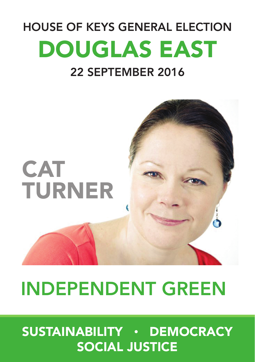# HOUSE OF KEYS GENERAL ELECTION DOUGLAS EAST 22 SEPTEMBER 2016



# INDEPENDENT GREEN

# SUSTAINABILITY • DEMOCRACY SOCIAL JUSTICE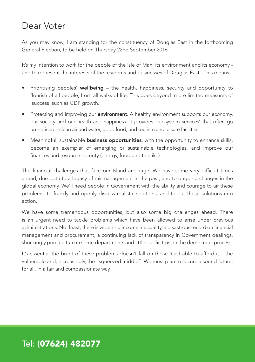### Dear Voter

As you may know, I am standing for the constituency of Douglas East in the forthcoming General Election, to be held on Thursday 22nd September 2016.

It's my intention to work for the people of the Isle of Man, its environment and its economy and to represent the interests of the residents and businesses of Douglas East. This means:

- Prioritising peoples' wellbeing the health, happiness, security and opportunity to flourish of all people, from all walks of life. This goes beyond more limited measures of 'success' such as GDP growth.
- Protecting and improving our **environment**. A healthy environment supports our economy, our society and our health and happiness. It provides 'ecosystem services' that often go un-noticed – clean air and water, good food, and tourism and leisure facilities.
- Meaningful, sustainable **business opportunities**, with the opportunity to enhance skills, become an exemplar of emerging or sustainable technologies, and improve our finances and resource security (energy, food and the like).

The financial challenges that face our Island are huge. We have some very difficult times ahead, due both to a legacy of mismanagement in the past, and to ongoing changes in the global economy. We'll need people in Government with the ability and courage to air these problems, to frankly and openly discuss realistic solutions, and to put these solutions into action.

We have some tremendous opportunities, but also some big challenges ahead. There is an urgent need to tackle problems which have been allowed to arise under previous administrations. Not least, there is widening income inequality, a disastrous record on financial management and procurement, a continuing lack of transparency in Government dealings, shockingly poor culture in some departments and little public trust in the democratic process.

It's essential the brunt of these problems doesn't fall on those least able to afford it – the vulnerable and, increasingly, the "squeezed middle". We must plan to secure a sound future, for all, in a fair and compassionate way.

### Tel: (07624) 482077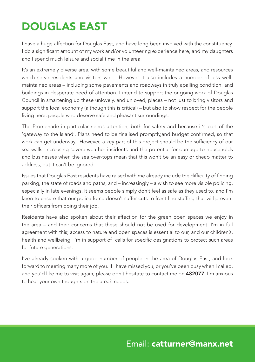### DOUGLAS EAST

I have a huge affection for Douglas East, and have long been involved with the constituency. I do a significant amount of my work and/or volunteering experience here, and my daughters and I spend much leisure and social time in the area.

It's an extremely diverse area, with some beautiful and well-maintained areas, and resources which serve residents and visitors well. However it also includes a number of less wellmaintained areas – including some pavements and roadways in truly apalling condition, and buildings in desperate need of attention. I intend to support the ongoing work of Douglas Council in smartening up these unlovely, and unloved, places – not just to bring visitors and support the local economy (although this is critical) – but also to show respect for the people living here; people who deserve safe and pleasant surroundings.

The Promenade in particular needs attention, both for safety and because it's part of the 'gateway to the Island'. Plans need to be finalised promptly,and budget confirmed, so that work can get underway. However, a key part of this project should be the sufficiency of our sea walls. Increasing severe weather incidents and the potential for damage to households and businesses when the sea over-tops mean that this won't be an easy or cheap matter to address, but it can't be ignored.

Issues that Douglas East residents have raised with me already include the difficulty of finding parking, the state of roads and paths, and – increasingly – a wish to see more visible policing, especially in late evenings. It seems people simply don't feel as safe as they used to, and I'm keen to ensure that our police force doesn't suffer cuts to front-line staffing that will prevent their officers from doing their job.

Residents have also spoken about their affection for the green open spaces we enjoy in the area – and their concerns that these should not be used for development. I'm in full agreement with this; access to nature and open spaces is essential to our, and our children's, health and wellbeing. I'm in support of calls for specific designations to protect such areas for future generations.

I've already spoken with a good number of people in the area of Douglas East, and look forward to meeting many more of you. If I have missed you, or you've been busy when I called, and you'd like me to visit again, please don't hesitate to contact me on 482077. I'm anxious to hear your own thoughts on the area's needs.

### Email: catturner@manx.net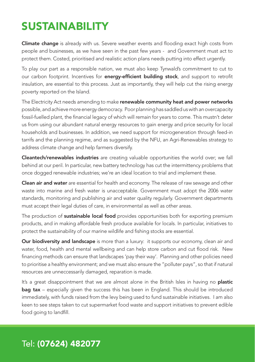### SUSTAINABILITY

Climate change is already with us. Severe weather events and flooding exact high costs from people and businesses, as we have seen in the past few years - and Government must act to protect them. Costed, prioritised and realistic action plans needs putting into effect urgently.

To play our part as a responsible nation, we must also keep Tynwald's commitment to cut to our carbon footprint. Incentives for energy-efficient building stock, and support to retrofit insulation, are essential to this process. Just as importantly, they will help cut the rising energy poverty reported on the Island.

The Electricity Act needs amending to make renewable community heat and power networks possible, and achieve more energy democracy. Poor planning has saddled us with an overcapacity fossil-fuelled plant, the financial legacy of which will remain for years to come. This mustn't deter us from using our abundant natural energy resources to gain energy and price security for local households and businesses. In addition, we need support for microgeneration through feed-in tarrifs and the planning regime, and as suggested by the NFU, an Agri-Renewables strategy to address climate change and help farmers diversify.

**Cleantech/renewables industries** are creating valuable opportunities the world over; we fall behind at our peril. In particular, new battery technology has cut the intermittency problems that once dogged renewable industries; we're an ideal location to trial and implement these.

Clean air and water are essential for health and economy. The release of raw sewage and other waste into marine and fresh water is unacceptable. Government must adopt the 2006 water standards, monitoring and publishing air and water quality regularly. Government departments must accept their legal duties of care, in environmental as well as other areas.

The production of **sustainable local food** provides opportunities both for exporting premium products, and in making affordable fresh produce available for locals. In particular, initiatives to protect the sustainability of our marine wildlife and fishing stocks are essential.

Our biodiversity and landscape is more than a luxury: it supports our economy, clean air and water, food, health and mental wellbeing and can help store carbon and cut flood risk. New financing methods can ensure that landscapes 'pay their way'. Planning and other policies need to prioritise a healthy environment; and we must also ensure the "polluter pays", so that if natural resources are unneccessarily damaged, reparation is made.

It's a great disappointment that we are almost alone in the British Isles in having no **plastic** bag tax - especially given the success this has been in England. This should be introduced immediately, with funds raised from the levy being used to fund sustainable initiatives. I am also keen to see steps taken to cut supermarket food waste and support initiatives to prevent edible food going to landfill.

### Tel: (07624) 482077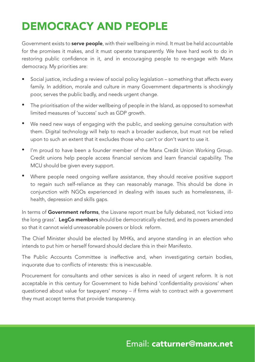### DEMOCRACY AND PEOPLE

Government exists to **serve people**, with their wellbeing in mind. It must be held accountable for the promises it makes, and it must operate transparently. We have hard work to do in restoring public confidence in it, and in encouraging people to re-engage with Manx democracy. My priorities are:

- Social justice, including a review of social policy legislation something that affects every family. In addition, morale and culture in many Government departments is shockingly poor, serves the public badly, and needs urgent change. •
- The prioritisation of the wider wellbeing of people in the Island, as opposed to somewhat limited measures of 'success' such as GDP growth. •
- We need new ways of engaging with the public, and seeking genuine consultation with them. Digital technology will help to reach a broader audience, but must not be relied upon to such an extent that it excludes those who can't or don't want to use it. •
- I'm proud to have been a founder member of the Manx Credit Union Working Group. Credit unions help people access financial services and learn financial capability. The MCU should be given every support. •
- Where people need ongoing welfare assistance, they should receive positive support to regain such self-reliance as they can reasonably manage. This should be done in conjunction with NGOs experienced in dealing with issues such as homelessness, illhealth, depression and skills gaps. •

In terms of Government reforms, the Lisvane report must be fully debated, not 'kicked into the long grass'. LegCo members should be democratically elected, and its powers amended so that it cannot wield unreasonable powers or block reform.

The Chief Minister should be elected by MHKs, and anyone standing in an election who intends to put him or herself forward should declare this in their Manifesto.

The Public Accounts Committee is ineffective and, when investigating certain bodies, inquorate due to conflicts of interests: this is inexcusable.

Procurement for consultants and other services is also in need of urgent reform. It is not acceptable in this century for Government to hide behind 'confidentiality provisions' when questioned about value for taxpayers' money – if firms wish to contract with a government they must accept terms that provide transparency.

#### Email: catturner@manx.net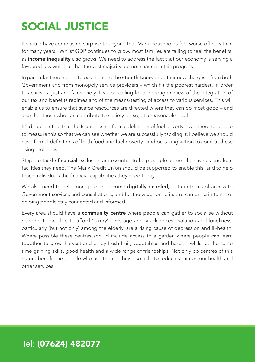## SOCIAL JUSTICE

It should have come as no surprise to anyone that Manx households feel worse off now than for many years. Whilst GDP continues to grow, most families are failing to feel the benefits, as income inequality also grows. We need to address the fact that our economy is serving a favoured few well, but that the vast majority are not sharing in this progress.

In particular there needs to be an end to the stealth taxes and other new charges - from both Government and from monopoly service providers – which hit the poorest hardest. In order to achieve a just and fair society, I will be calling for a thorough review of the integration of our tax and benefits regimes and of the means-testing of access to various services. This will enable us to ensure that scarce rescources are directed where they can do most good – and also that those who can contribute to society do so, at a reasonable level.

It's disappointing that the Island has no formal definition of fuel poverty – we need to be able to measure this so that we can see whether we are successfully tackling it. I believe we should have formal definitions of both food and fuel poverty, and be taking action to combat these rising problems.

Steps to tackle **financial** exclusion are essential to help people access the savings and loan facilities they need. The Manx Credit Union should be supported to enable this, and to help teach individuals the financial capabilities they need today.

We also need to help more people become **digitally enabled**, both in terms of access to Government services and consultations, and for the wider benefits this can bring in terms of helping people stay connected and informed.

Every area should have a community centre where people can gather to socialise without needing to be able to afford 'luxury' beverage and snack prices. Isolation and loneliness, particularly (but not only) among the elderly, are a rising cause of depression and ill-health. Where possible these centres should include access to a garden where people can learn together to grow, harvest and enjoy fresh fruit, vegetables and herbs – whilst at the same time gaining skills, good health and a wide range of friendships. Not only do centres of this nature benefit the people who use them – they also help to reduce strain on our health and other services.

#### Tel: (07624) 482077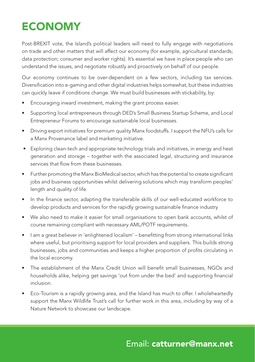## **ECONOMY**

Post-BREXIT vote, the Island's political leaders will need to fully engage with negotiations on trade and other matters that will affect our economy (for example, agricultural standards; data protection; consumer and worker rights). It's essential we have in place people who can understand the issues, and negotiate robustly and proactively on behalf of our people.

Our economy continues to be over-dependent on a few sectors, including tax services. Diversification into e-gaming and other digital industries helps somewhat, but these industries can quickly leave if conditions change. We must build businesses with stickability, by:

- Encouraging inward investment, making the grant process easier.
- Supporting local entrepreneurs through DED's Small Business Startup Scheme, and Local Entrepreneur Forums to encourage sustainable local businesses.
- Driving export initiatives for premium quality Manx foodstuffs. I support the NFU's calls for a Manx Provenance label and marketing initiative.
- Exploring clean-tech and appropriate-technology trials and initiatives, in energy and heat generation and storage – together with the associated legal, structuring and insurance services that flow from these businesses.
- Further promoting the Manx BioMedical sector, which has the potential to create significant jobs and business opportunities whilst delivering solutions which may transform peoples' length and quality of life.
- In the finance sector, adapting the transferable skills of our well-educated workforce to develop products and services for the rapidly growing sustainable finance industry
- We also need to make it easier for small organisations to open bank accounts, whilst of course remaining compliant with necessary AML/POTF requirements.
- I am a great believer in 'enlightened localism' benefitting from strong international links where useful, but prioritising support for local providers and suppliers. This builds strong businesses, jobs and communities and keeps a higher proportion of profits circulating in the local economy.
- The establishment of the Manx Credit Union will benefit small businesses. NGOs and households alike, helping get savings 'out from under the bed' and supporting financial inclusion.
- Eco-Tourism is a rapidly growing area, and the Island has much to offer. I wholeheartedly support the Manx Wildlife Trust's call for further work in this area, including by way of a Nature Network to showcase our landscape.

### Email: catturner@manx.net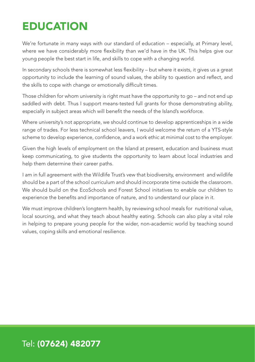### **EDUCATION**

We're fortunate in many ways with our standard of education – especially, at Primary level, where we have considerably more flexibility than we'd have in the UK. This helps give our young people the best start in life, and skills to cope with a changing world.

In secondary schools there is somewhat less flexibility – but where it exists, it gives us a great opportunity to include the learning of sound values, the ability to question and reflect, and the skills to cope with change or emotionally difficult times.

Those children for whom university is right must have the opportunity to go – and not end up saddled with debt. Thus I support means-tested full grants for those demonstrating ability, especially in subject areas which will benefit the needs of the Island's workforce.

Where university's not appropriate, we should continue to develop apprenticeships in a wide range of trades. For less technical school leavers, I would welcome the return of a YTS-style scheme to develop experience, confidence, and a work ethic at minimal cost to the employer.

Given the high levels of employment on the Island at present, education and business must keep communicating, to give students the opportunity to learn about local industries and help them determine their career paths.

I am in full agreement with the Wildlife Trust's vew that biodiversity, environment and wildlife should be a part of the school curriculum and should incorporate time outside the classroom. We should build on the EcoSchools and Forest School initatives to enable our children to experience the benefits and importance of nature, and to understand our place in it.

We must improve children's longterm health, by reviewing school meals for nutritional value, local sourcing, and what they teach about healthy eating. Schools can also play a vital role in helping to prepare young people for the wider, non-academic world by teaching sound values, coping skills and emotional resilience.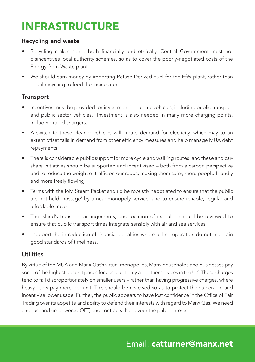### INFRASTRUCTURE

#### Recycling and waste

- Recycling makes sense both financially and ethically. Central Government must not disincentives local authority schemes, so as to cover the poorly-negotiated costs of the Energy-from-Waste plant.
- We should earn money by importing Refuse-Derived Fuel for the EfW plant, rather than derail recycling to feed the incinerator.

#### **Transport**

- Incentives must be provided for investment in electric vehicles, including public transport and public sector vehicles. Investment is also needed in many more charging points, including rapid chargers.
- A switch to these cleaner vehicles will create demand for elecricity, which may to an extent offset falls in demand from other efficiency measures and help manage MUA debt repayments.
- There is considerable public support for more cycle and walking routes, and these and carshare initiatives should be supported and incentivised – both from a carbon perspective and to reduce the weight of traffic on our roads, making them safer, more people-friendly and more freely flowing.
- Terms with the IoM Steam Packet should be robustly negotiated to ensure that the public are not held, hostage' by a near-monopoly service, and to ensure reliable, regular and affordable travel.
- The Island's transport arrangements, and location of its hubs, should be reviewed to ensure that public transport times integrate sensibly with air and sea services.
- I support the introduction of financial penalties where airline operators do not maintain good standards of timeliness.

#### Utilities

By virtue of the MUA and Manx Gas's virtual monopolies, Manx households and businesses pay some of the highest per unit prices for gas, electricity and other services in the UK. These charges tend to fall disproportionately on smaller users – rather than having progressive charges, where heavy users pay more per unit. This should be reviewed so as to protect the vulnerable and incentivise lower usage. Further, the public appears to have lost confidence in the Office of Fair Trading over its appetite and ability to defend their interests with regard to Manx Gas. We need a robust and empowered OFT, and contracts that favour the public interest.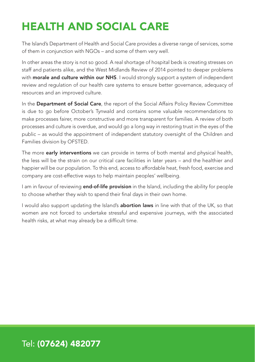### HEALTH AND SOCIAL CARE

The Island's Department of Health and Social Care provides a diverse range of services, some of them in conjunction with NGOs – and some of them very well.

In other areas the story is not so good. A real shortage of hospital beds is creating stresses on staff and patients alike, and the West Midlands Review of 2014 pointed to deeper problems with morale and culture within our NHS. I would strongly support a system of independent review and regulation of our health care systems to ensure better governance, adequacy of resources and an improved culture.

In the Department of Social Care, the report of the Social Affairs Policy Review Committee is due to go before October's Tynwald and contains some valuable recommendations to make processes fairer, more constructive and more transparent for families. A review of both processes and culture is overdue, and would go a long way in restoring trust in the eyes of the public – as would the appointment of independent statutory oversight of the Children and Families division by OFSTED.

The more early interventions we can provide in terms of both mental and physical health, the less will be the strain on our critical care facilities in later years – and the healthier and happier will be our population. To this end, access to affordable heat, fresh food, exercise and company are cost-effective ways to help maintain peoples' wellbeing.

I am in favour of reviewing **end-of-life provision** in the Island, including the ability for people to choose whether they wish to spend their final days in their own home.

I would also support updating the Island's **abortion laws** in line with that of the UK, so that women are not forced to undertake stressful and expensive journeys, with the associated health risks, at what may already be a difficult time.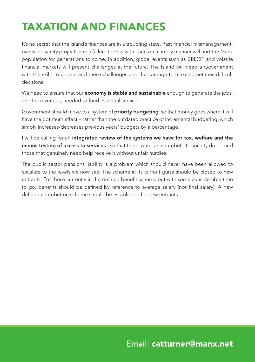## TAXATION AND FINANCES

It's no secret that the Island's finances are in a troubling state. Past financial mismanagement, oversized vanity projects and a failure to deal with issues in a timely manner will hurt the Manx population for generations to come. In addition, global events such as BREXIT and volatile financial markets will present challenges in the future. The Island will need a Government with the skills to understand these challenges and the courage to make sometimes-difficult decisions.

We need to ensure that our **economy is stable and sustainable** enough to generate the jobs, and tax revenues, needed to fund essential services.

Government should move to a system of **priority budgeting**, so that money goes where it will have the optimum effect – rather than the outdated practice of incremental budgeting, which simply increases/decreases previous years' budgets by a percentage.

I will be calling for an integrated review of the systems we have for tax, welfare and the means-testing of access to services - so that those who can contribute to society do so, and those that genuinely need help receive it without unfair hurdles.

The public sector pensions liability is a problem which should never have been allowed to escalate to the levels we now see. The scheme in its current guise should be closed to new entrants. For those currently in the defined benefit scheme but with some considerable time to go, benefits should be defined by reference to average salary (not final salary). A new defined contribution scheme should be established for new entrants.